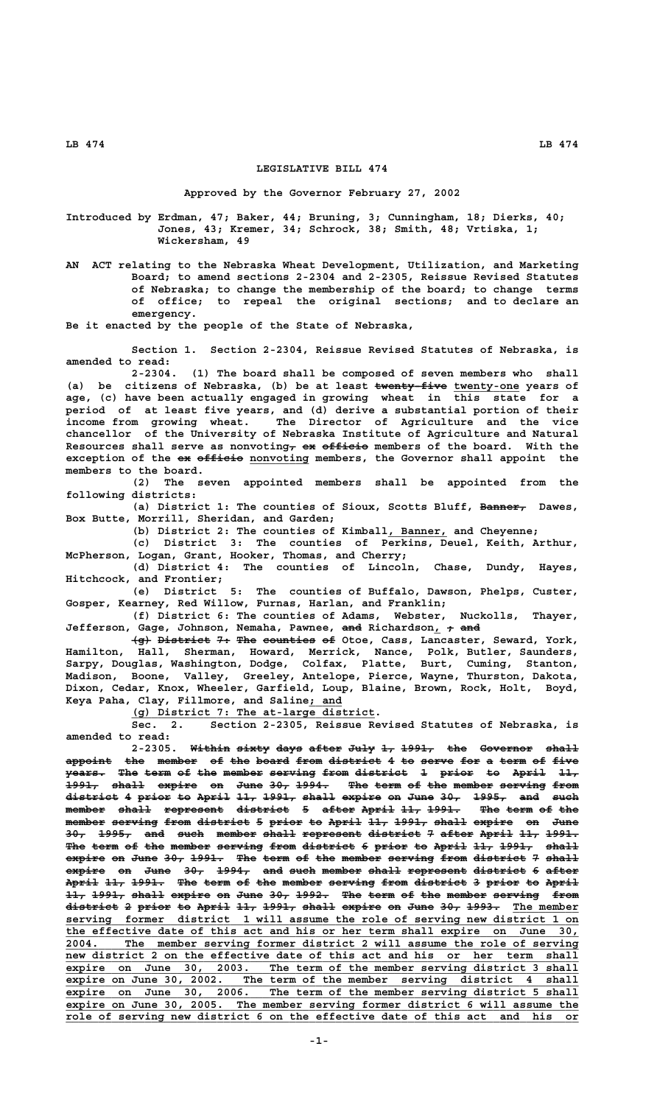## **LB 474 LB 474**

## **LEGISLATIVE BILL 474**

## **Approved by the Governor February 27, 2002**

**Introduced by Erdman, 47; Baker, 44; Bruning, 3; Cunningham, 18; Dierks, 40; Jones, 43; Kremer, 34; Schrock, 38; Smith, 48; Vrtiska, 1; Wickersham, 49**

**AN ACT relating to the Nebraska Wheat Development, Utilization, and Marketing Board; to amend sections 2-2304 and 2-2305, Reissue Revised Statutes of Nebraska; to change the membership of the board; to change terms of office; to repeal the original sections; and to declare an emergency.**

**Be it enacted by the people of the State of Nebraska,**

**Section 1. Section 2-2304, Reissue Revised Statutes of Nebraska, is amended to read:**

**2-2304. (1) The board shall be composed of seven members who shall** (a) be citizens of Nebraska, (b) be at least twenty-five twenty-one years of **age, (c) have been actually engaged in growing wheat in this state for a period of at least five years, and (d) derive a substantial portion of their income from growing wheat. The Director of Agriculture and the vice chancellor of the University of Nebraska Institute of Agriculture and Natural** Resources shall serve as nonvoting<sub>7</sub> ex officio members of the board. With the exception of the ex efficie nonvoting members, the Governor shall appoint the **members to the board.**

**(2) The seven appointed members shall be appointed from the following districts:**

(a) District 1: The counties of Sioux, Scotts Bluff, Banner, Dawes, **Box Butte, Morrill, Sheridan, and Garden;**

(b) District 2: The counties of Kimball, Banner, and Cheyenne;

**(c) District 3: The counties of Perkins, Deuel, Keith, Arthur, McPherson, Logan, Grant, Hooker, Thomas, and Cherry;**

**(d) District 4: The counties of Lincoln, Chase, Dundy, Hayes, Hitchcock, and Frontier;**

**(e) District 5: The counties of Buffalo, Dawson, Phelps, Custer, Gosper, Kearney, Red Willow, Furnas, Harlan, and Franklin;**

**(f) District 6: The counties of Adams, Webster, Nuckolls, Thayer,** Jefferson, Gage, Johnson, Nemaha, Pawnee, <del>and</del> Richardson<sub>, †</sub> and

 $\overline{\text{F}}$  District 7+ The counties of Otoe, Cass, Lancaster, Seward, York, **Hamilton, Hall, Sherman, Howard, Merrick, Nance, Polk, Butler, Saunders, Sarpy, Douglas, Washington, Dodge, Colfax, Platte, Burt, Cuming, Stanton, Madison, Boone, Valley, Greeley, Antelope, Pierce, Wayne, Thurston, Dakota, Dixon, Cedar, Knox, Wheeler, Garfield, Loup, Blaine, Brown, Rock, Holt, Boyd, \_\_\_\_\_ Keya Paha, Clay, Fillmore, and Saline; and**

 **\_\_\_\_\_\_\_\_\_\_\_\_\_\_\_\_\_\_\_\_\_\_\_\_\_\_\_\_\_\_\_\_\_\_\_\_\_ (g) District 7: The at-large district.**

**Sec. 2. Section 2-2305, Reissue Revised Statutes of Nebraska, is amended to read:**

2-2305. Within sixty days after July 1, 1991, the Governor shall appoint the member of the board from district 4 to serve for a term of five **years. The term of the member serving from district 1 prior to April 11,** 1991, shall expire on June 30, 1994. The term of the member serving from **district 4 prior to April 11, 1991, shall expire on June 30, 1995, and such ———————— — ————— —— ————— ——— ————— ————— —————— —— ———— ——— ————— ——— ——— member shall represent district 5 after April 11, 1991. The term of the —————— ————— ————————— ———————— — ————— ————— ——— ————— ——— ———— —— ——** member serving from district 5 prior to April 11, 1991, shall expire on June 30, 1995, and such member shall represent district 7 after April 11, 1991. The term of the member serving from district 6 prior to April 11, 1991, shall expire on June 30, 1991. The term of the member serving from district 7 shall expire on June 30, 1994, and such member shall represent district 6 after  $\overline{\text{April 11}}$  1991. The term of the member serving from district 3 prior to April 11, 1991, shall expire on June 30, 1992. The term of the member serving from district 2 prior to April 11, 1991, shall expire on June 30, 1993. The member  **\_\_\_\_\_\_\_\_\_\_\_\_\_\_\_\_\_\_\_\_\_\_\_\_\_\_\_\_\_\_\_\_\_\_\_\_\_\_\_\_\_\_\_\_\_\_\_\_\_\_\_\_\_\_\_\_\_\_\_\_\_\_\_\_\_\_\_\_\_\_\_\_\_\_\_\_\_\_ serving former district 1 will assume the role of serving new district 1 on \_\_\_\_\_\_\_\_\_\_\_\_\_\_\_\_\_\_\_\_\_\_\_\_\_\_\_\_\_\_\_\_\_\_\_\_\_\_\_\_\_\_\_\_\_\_\_\_\_\_\_\_\_\_\_\_\_\_\_\_\_\_\_\_\_\_\_\_\_\_\_\_\_\_\_\_\_\_ the effective date of this act and his or her term shall expire on June 30, \_\_\_\_\_\_\_\_\_\_\_\_\_\_\_\_\_\_\_\_\_\_\_\_\_\_\_\_\_\_\_\_\_\_\_\_\_\_\_\_\_\_\_\_\_\_\_\_\_\_\_\_\_\_\_\_\_\_\_\_\_\_\_\_\_\_\_\_\_\_\_\_\_\_\_\_\_\_ 2004. The member serving former district 2 will assume the role of serving \_\_\_\_\_\_\_\_\_\_\_\_\_\_\_\_\_\_\_\_\_\_\_\_\_\_\_\_\_\_\_\_\_\_\_\_\_\_\_\_\_\_\_\_\_\_\_\_\_\_\_\_\_\_\_\_\_\_\_\_\_\_\_\_\_\_\_\_\_\_\_\_\_\_\_\_\_\_ new district 2 on the effective date of this act and his or her term shall \_\_\_\_\_\_\_\_\_\_\_\_\_\_\_\_\_\_\_\_\_\_\_\_\_\_\_\_\_\_\_\_\_\_\_\_\_\_\_\_\_\_\_\_\_\_\_\_\_\_\_\_\_\_\_\_\_\_\_\_\_\_\_\_\_\_\_\_\_\_\_\_\_\_\_\_\_\_ expire on June 30, 2003. The term of the member serving district 3 shall** expire on June 30, 2002. The term of the member serving district 4 shall expire on June 30, 2006. The term of the member serving district 5 shall  **\_\_\_\_\_\_\_\_\_\_\_\_\_\_\_\_\_\_\_\_\_\_\_\_\_\_\_\_\_\_\_\_\_\_\_\_\_\_\_\_\_\_\_\_\_\_\_\_\_\_\_\_\_\_\_\_\_\_\_\_\_\_\_\_\_\_\_\_\_\_\_\_\_\_\_\_\_\_ expire on June 30, 2005. The member serving former district 6 will assume the** role of serving new district 6 on the effective date of this act and his or